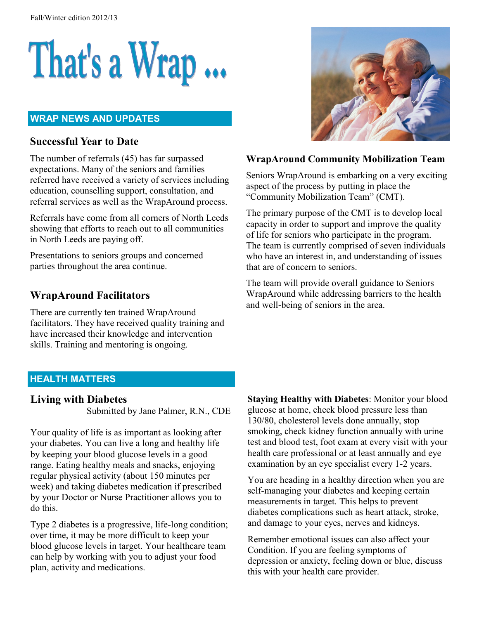# That's a Wrap ...

#### **WRAP NEWS AND UPDATES**

## **Successful Year to Date**

The number of referrals (45) has far surpassed expectations. Many of the seniors and families referred have received a variety of services including education, counselling support, consultation, and referral services as well as the WrapAround process.

Referrals have come from all corners of North Leeds showing that efforts to reach out to all communities in North Leeds are paying off.

Presentations to seniors groups and concerned parties throughout the area continue.

## **WrapAround Facilitators**

There are currently ten trained WrapAround facilitators. They have received quality training and have increased their knowledge and intervention skills. Training and mentoring is ongoing.



### **WrapAround Community Mobilization Team**

Seniors WrapAround is embarking on a very exciting aspect of the process by putting in place the "Community Mobilization Team" (CMT).

The primary purpose of the CMT is to develop local capacity in order to support and improve the quality of life for seniors who participate in the program. The team is currently comprised of seven individuals who have an interest in, and understanding of issues that are of concern to seniors.

The team will provide overall guidance to Seniors WrapAround while addressing barriers to the health and well-being of seniors in the area.

## **HEALTH MATTERS**

#### **Living with Diabetes**

Submitted by Jane Palmer, R.N., CDE

Your quality of life is as important as looking after your diabetes. You can live a long and healthy life by keeping your blood glucose levels in a good range. Eating healthy meals and snacks, enjoying regular physical activity (about 150 minutes per week) and taking diabetes medication if prescribed by your Doctor or Nurse Practitioner allows you to do this.

Type 2 diabetes is a progressive, life-long condition; over time, it may be more difficult to keep your blood glucose levels in target. Your healthcare team can help by working with you to adjust your food plan, activity and medications.

**Staying Healthy with Diabetes**: Monitor your blood glucose at home, check blood pressure less than 130/80, cholesterol levels done annually, stop smoking, check kidney function annually with urine test and blood test, foot exam at every visit with your health care professional or at least annually and eye examination by an eye specialist every 1-2 years.

You are heading in a healthy direction when you are self-managing your diabetes and keeping certain measurements in target. This helps to prevent diabetes complications such as heart attack, stroke, and damage to your eyes, nerves and kidneys.

Remember emotional issues can also affect your Condition. If you are feeling symptoms of depression or anxiety, feeling down or blue, discuss this with your health care provider.